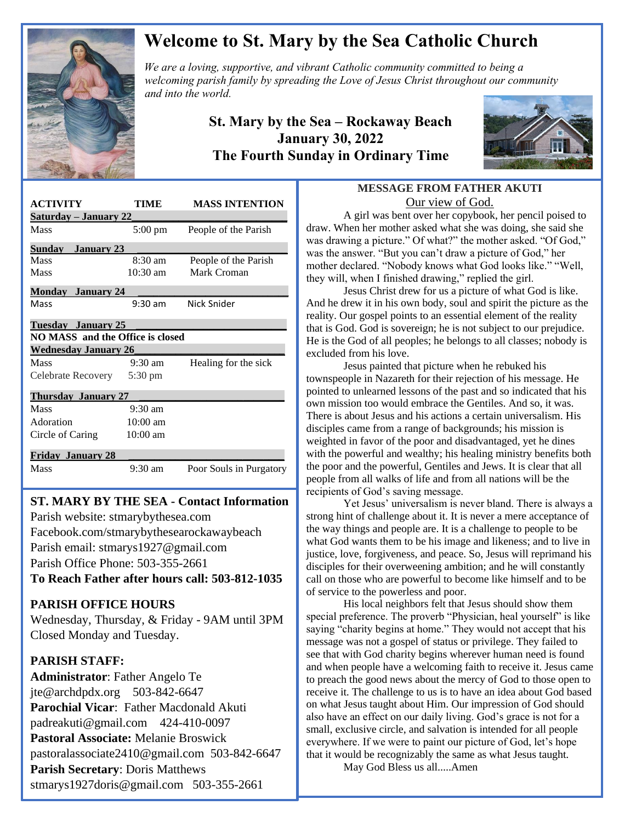

# **Welcome to St. Mary by the Sea Catholic Church**

*We are a loving, supportive, and vibrant Catholic community committed to being a We are a loving, supportive, and vibrant Catholic community committed to being a*  $\mathbb{Z}$ *welcoming parish family by spreading the Love of Jesus Christ throughout our community and into the world.*

### **St. Mary by the Sea – Rockaway Beach January 30, 2022 The Fourth Sunday in Ordinary Time**



| <b>ACTIVITY</b>                         | TIME              | <b>MASS INTENTION</b>   |
|-----------------------------------------|-------------------|-------------------------|
| <u>Saturday – January 22</u>            |                   |                         |
| Mass                                    | $5:00 \text{ pm}$ | People of the Parish    |
| Sundav<br><b>January 23</b>             |                   |                         |
| Mass                                    | $8:30$ am         | People of the Parish    |
| Mass                                    | $10:30$ am        | Mark Croman             |
| <b>Monday January 24</b>                |                   |                         |
| Mass                                    | $9:30 \text{ am}$ | Nick Snider             |
| Tuesday January 25                      |                   |                         |
| <b>NO MASS</b> and the Office is closed |                   |                         |
| <b>Wednesday January 26</b>             |                   |                         |
| Mass                                    | $9:30 \text{ am}$ | Healing for the sick    |
| Celebrate Recovery                      | $5:30 \text{ pm}$ |                         |
| <b>Thursday January 27</b>              |                   |                         |
| Mass                                    | $9:30$ am         |                         |
| Adoration                               | $10:00$ am        |                         |
| Circle of Caring                        | $10:00$ am        |                         |
| <b>Friday January 28</b>                |                   |                         |
| Mass                                    | $9:30$ am         | Poor Souls in Purgatory |

## **ST. MARY BY THE SEA - Contact Information**

 Facebook.com/stmarybythesearockawaybeach Parish website: stmarybythesea.com Parish email: stmarys1927@gmail.com Parish Office Phone: 503-355-2661

**To Reach Father after hours call: 503-812-1035**

#### **PARISH OFFICE HOURS**

Wednesday, Thursday, & Friday - 9AM until 3PM Closed Monday and Tuesday.

#### **PARISH STAFF:**

 

> **Administrator**: Father Angelo Te jte@archdpdx.org 503-842-6647 **Parochial Vicar**: Father Macdonald Akuti padreakuti@gmail.com 424-410-0097 **Pastoral Associate:** Melanie Broswick pastoralassociate2410@gmail.com 503-842-6647 **Parish Secretary**: Doris Matthews stmarys1927doris@gmail.com 503-355-2661

#### **MESSAGE FROM FATHER AKUTI** Our view of God.

A girl was bent over her copybook, her pencil poised to draw. When her mother asked what she was doing, she said she was drawing a picture." Of what?" the mother asked. "Of God," was the answer. "But you can't draw a picture of God," her mother declared. "Nobody knows what God looks like." "Well, they will, when I finished drawing," replied the girl.

Jesus Christ drew for us a picture of what God is like. And he drew it in his own body, soul and spirit the picture as the reality. Our gospel points to an essential element of the reality that is God. God is sovereign; he is not subject to our prejudice. He is the God of all peoples; he belongs to all classes; nobody is excluded from his love.

Jesus painted that picture when he rebuked his townspeople in Nazareth for their rejection of his message. He pointed to unlearned lessons of the past and so indicated that his own mission too would embrace the Gentiles. And so, it was. There is about Jesus and his actions a certain universalism. His disciples came from a range of backgrounds; his mission is weighted in favor of the poor and disadvantaged, yet he dines with the powerful and wealthy; his healing ministry benefits both the poor and the powerful, Gentiles and Jews. It is clear that all people from all walks of life and from all nations will be the recipients of God's saving message.

Yet Jesus' universalism is never bland. There is always a strong hint of challenge about it. It is never a mere acceptance of the way things and people are. It is a challenge to people to be what God wants them to be his image and likeness; and to live in justice, love, forgiveness, and peace. So, Jesus will reprimand his disciples for their overweening ambition; and he will constantly call on those who are powerful to become like himself and to be of service to the powerless and poor.

His local neighbors felt that Jesus should show them special preference. The proverb "Physician, heal yourself" is like saying "charity begins at home." They would not accept that his message was not a gospel of status or privilege. They failed to see that with God charity begins wherever human need is found and when people have a welcoming faith to receive it. Jesus came to preach the good news about the mercy of God to those open to receive it. The challenge to us is to have an idea about God based on what Jesus taught about Him. Our impression of God should also have an effect on our daily living. God's grace is not for a small, exclusive circle, and salvation is intended for all people everywhere. If we were to paint our picture of God, let's hope that it would be recognizably the same as what Jesus taught.

May God Bless us all.....Amen